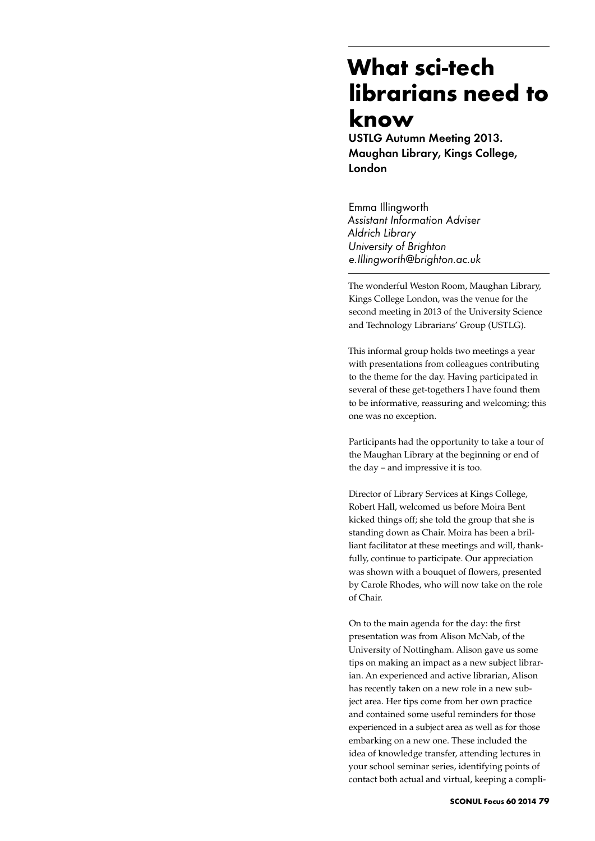## **What sci-tech librarians need to know**

USTLG Autumn Meeting 2013. Maughan Library, Kings College, London

Emma Illingworth *Assistant Information Adviser Aldrich Library University of Brighton e.Illingworth@brighton.ac.uk*

The wonderful Weston Room, Maughan Library, Kings College London, was the venue for the second meeting in 2013 of the University Science and Technology Librarians' Group (USTLG).

This informal group holds two meetings a year with presentations from colleagues contributing to the theme for the day. Having participated in several of these get-togethers I have found them to be informative, reassuring and welcoming; this one was no exception.

Participants had the opportunity to take a tour of the Maughan Library at the beginning or end of the day – and impressive it is too.

Director of Library Services at Kings College, Robert Hall, welcomed us before Moira Bent kicked things off; she told the group that she is standing down as Chair. Moira has been a brilliant facilitator at these meetings and will, thankfully, continue to participate. Our appreciation was shown with a bouquet of flowers, presented by Carole Rhodes, who will now take on the role of Chair.

On to the main agenda for the day: the first presentation was from Alison McNab, of the University of Nottingham. Alison gave us some tips on making an impact as a new subject librarian. An experienced and active librarian, Alison has recently taken on a new role in a new subject area. Her tips come from her own practice and contained some useful reminders for those experienced in a subject area as well as for those embarking on a new one. These included the idea of knowledge transfer, attending lectures in your school seminar series, identifying points of contact both actual and virtual, keeping a compli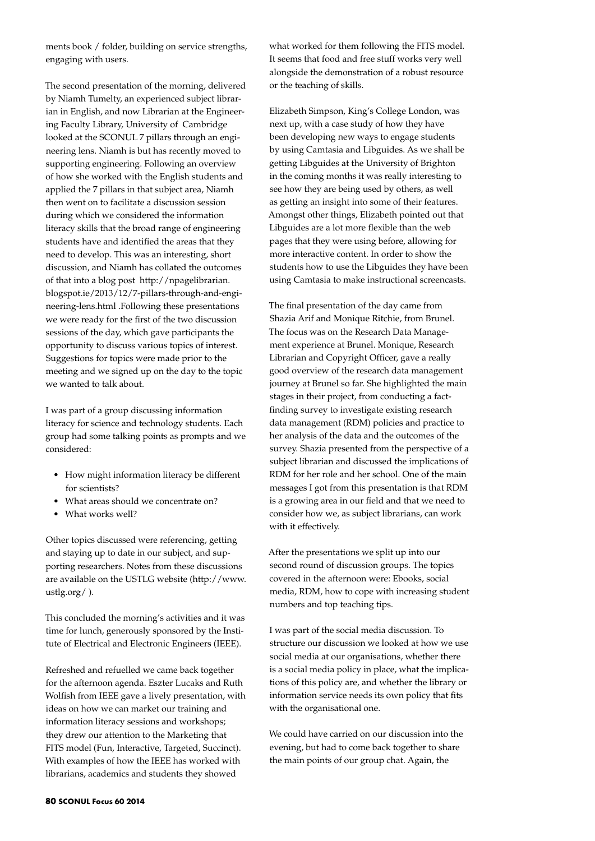ments book / folder, building on service strengths, engaging with users.

The second presentation of the morning, delivered by Niamh Tumelty, an experienced subject librarian in English, and now Librarian at the Engineering Faculty Library, University of Cambridge looked at the SCONUL 7 pillars through an engineering lens. Niamh is but has recently moved to supporting engineering. Following an overview of how she worked with the English students and applied the 7 pillars in that subject area, Niamh then went on to facilitate a discussion session during which we considered the information literacy skills that the broad range of engineering students have and identified the areas that they need to develop. This was an interesting, short discussion, and Niamh has collated the outcomes of that into a blog post http://npagelibrarian. blogspot.ie/2013/12/7-pillars-through-and-engineering-lens.html .Following these presentations we were ready for the first of the two discussion sessions of the day, which gave participants the opportunity to discuss various topics of interest. Suggestions for topics were made prior to the meeting and we signed up on the day to the topic we wanted to talk about.

I was part of a group discussing information literacy for science and technology students. Each group had some talking points as prompts and we considered:

- • How might information literacy be different for scientists?
- What areas should we concentrate on?
- What works well?

Other topics discussed were referencing, getting and staying up to date in our subject, and supporting researchers. Notes from these discussions are available on the USTLG website (http://www. ustlg.org/ ).

This concluded the morning's activities and it was time for lunch, generously sponsored by the Institute of Electrical and Electronic Engineers (IEEE).

Refreshed and refuelled we came back together for the afternoon agenda. Eszter Lucaks and Ruth Wolfish from IEEE gave a lively presentation, with ideas on how we can market our training and information literacy sessions and workshops; they drew our attention to the Marketing that FITS model (Fun, Interactive, Targeted, Succinct). With examples of how the IEEE has worked with librarians, academics and students they showed

what worked for them following the FITS model. It seems that food and free stuff works very well alongside the demonstration of a robust resource or the teaching of skills.

Elizabeth Simpson, King's College London, was next up, with a case study of how they have been developing new ways to engage students by using Camtasia and Libguides. As we shall be getting Libguides at the University of Brighton in the coming months it was really interesting to see how they are being used by others, as well as getting an insight into some of their features. Amongst other things, Elizabeth pointed out that Libguides are a lot more flexible than the web pages that they were using before, allowing for more interactive content. In order to show the students how to use the Libguides they have been using Camtasia to make instructional screencasts.

The final presentation of the day came from Shazia Arif and Monique Ritchie, from Brunel. The focus was on the Research Data Management experience at Brunel. Monique, Research Librarian and Copyright Officer, gave a really good overview of the research data management journey at Brunel so far. She highlighted the main stages in their project, from conducting a factfinding survey to investigate existing research data management (RDM) policies and practice to her analysis of the data and the outcomes of the survey. Shazia presented from the perspective of a subject librarian and discussed the implications of RDM for her role and her school. One of the main messages I got from this presentation is that RDM is a growing area in our field and that we need to consider how we, as subject librarians, can work with it effectively.

After the presentations we split up into our second round of discussion groups. The topics covered in the afternoon were: Ebooks, social media, RDM, how to cope with increasing student numbers and top teaching tips.

I was part of the social media discussion. To structure our discussion we looked at how we use social media at our organisations, whether there is a social media policy in place, what the implications of this policy are, and whether the library or information service needs its own policy that fits with the organisational one.

We could have carried on our discussion into the evening, but had to come back together to share the main points of our group chat. Again, the